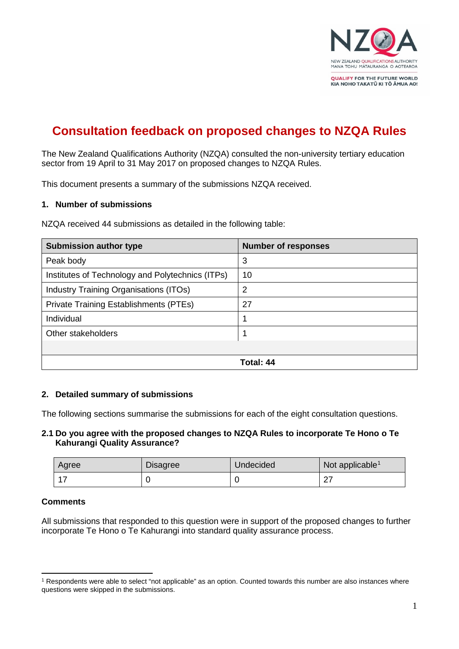

# **Consultation feedback on proposed changes to NZQA Rules**

The New Zealand Qualifications Authority (NZQA) consulted the non-university tertiary education sector from 19 April to 31 May 2017 on proposed changes to NZQA Rules.

This document presents a summary of the submissions NZQA received.

#### **1. Number of submissions**

NZQA received 44 submissions as detailed in the following table:

| <b>Submission author type</b>                    | <b>Number of responses</b> |
|--------------------------------------------------|----------------------------|
| Peak body                                        | 3                          |
| Institutes of Technology and Polytechnics (ITPs) | 10                         |
| Industry Training Organisations (ITOs)           | 2                          |
| Private Training Establishments (PTEs)           | 27                         |
| Individual                                       |                            |
| Other stakeholders                               |                            |
|                                                  |                            |
|                                                  | Total: 44                  |

## **2. Detailed summary of submissions**

The following sections summarise the submissions for each of the eight consultation questions.

## **2.1 Do you agree with the proposed changes to NZQA Rules to incorporate Te Hono o Te Kahurangi Quality Assurance?**

| Agree | <b>Disagree</b> | Undecided | Not applicable <sup>1</sup> |
|-------|-----------------|-----------|-----------------------------|
|       |                 |           | $\sim$<br>ا ہے              |

## **Comments**

All submissions that responded to this question were in support of the proposed changes to further incorporate Te Hono o Te Kahurangi into standard quality assurance process.

<span id="page-0-0"></span><sup>&</sup>lt;u>.</u> <sup>1</sup> Respondents were able to select "not applicable" as an option. Counted towards this number are also instances where questions were skipped in the submissions.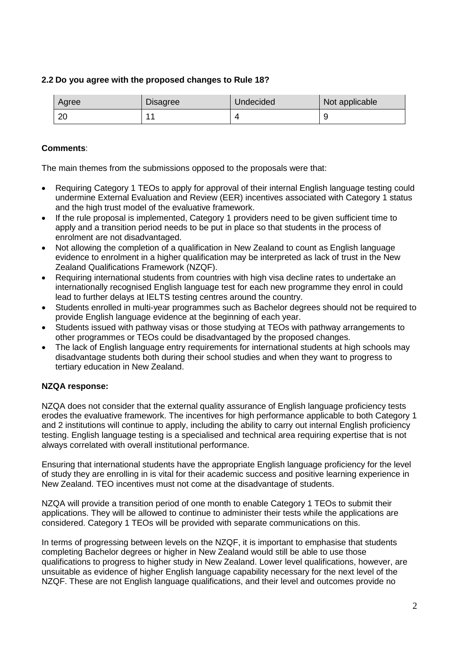# **2.2 Do you agree with the proposed changes to Rule 18?**

| Agree | <b>Disagree</b> | Undecided | Not applicable |
|-------|-----------------|-----------|----------------|
| ററ    |                 |           |                |

# **Comments**:

The main themes from the submissions opposed to the proposals were that:

- Requiring Category 1 TEOs to apply for approval of their internal English language testing could undermine External Evaluation and Review (EER) incentives associated with Category 1 status and the high trust model of the evaluative framework.
- If the rule proposal is implemented, Category 1 providers need to be given sufficient time to apply and a transition period needs to be put in place so that students in the process of enrolment are not disadvantaged.
- Not allowing the completion of a qualification in New Zealand to count as English language evidence to enrolment in a higher qualification may be interpreted as lack of trust in the New Zealand Qualifications Framework (NZQF).
- Requiring international students from countries with high visa decline rates to undertake an internationally recognised English language test for each new programme they enrol in could lead to further delays at IELTS testing centres around the country.
- Students enrolled in multi-year programmes such as Bachelor degrees should not be required to provide English language evidence at the beginning of each year.
- Students issued with pathway visas or those studying at TEOs with pathway arrangements to other programmes or TEOs could be disadvantaged by the proposed changes.
- The lack of English language entry requirements for international students at high schools may disadvantage students both during their school studies and when they want to progress to tertiary education in New Zealand.

## **NZQA response:**

NZQA does not consider that the external quality assurance of English language proficiency tests erodes the evaluative framework. The incentives for high performance applicable to both Category 1 and 2 institutions will continue to apply, including the ability to carry out internal English proficiency testing. English language testing is a specialised and technical area requiring expertise that is not always correlated with overall institutional performance.

Ensuring that international students have the appropriate English language proficiency for the level of study they are enrolling in is vital for their academic success and positive learning experience in New Zealand. TEO incentives must not come at the disadvantage of students.

NZQA will provide a transition period of one month to enable Category 1 TEOs to submit their applications. They will be allowed to continue to administer their tests while the applications are considered. Category 1 TEOs will be provided with separate communications on this.

In terms of progressing between levels on the NZQF, it is important to emphasise that students completing Bachelor degrees or higher in New Zealand would still be able to use those qualifications to progress to higher study in New Zealand. Lower level qualifications, however, are unsuitable as evidence of higher English language capability necessary for the next level of the NZQF. These are not English language qualifications, and their level and outcomes provide no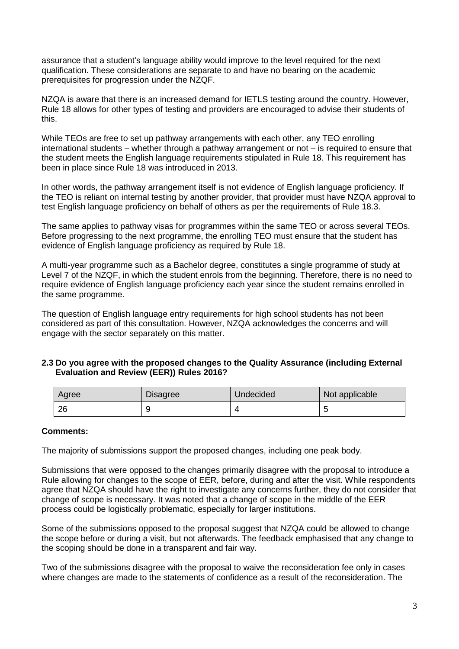assurance that a student's language ability would improve to the level required for the next qualification. These considerations are separate to and have no bearing on the academic prerequisites for progression under the NZQF.

NZQA is aware that there is an increased demand for IETLS testing around the country. However, Rule 18 allows for other types of testing and providers are encouraged to advise their students of this.

While TEOs are free to set up pathway arrangements with each other, any TEO enrolling international students – whether through a pathway arrangement or not – is required to ensure that the student meets the English language requirements stipulated in Rule 18. This requirement has been in place since Rule 18 was introduced in 2013.

In other words, the pathway arrangement itself is not evidence of English language proficiency. If the TEO is reliant on internal testing by another provider, that provider must have NZQA approval to test English language proficiency on behalf of others as per the requirements of Rule 18.3.

The same applies to pathway visas for programmes within the same TEO or across several TEOs. Before progressing to the next programme, the enrolling TEO must ensure that the student has evidence of English language proficiency as required by Rule 18.

A multi-year programme such as a Bachelor degree, constitutes a single programme of study at Level 7 of the NZQF, in which the student enrols from the beginning. Therefore, there is no need to require evidence of English language proficiency each year since the student remains enrolled in the same programme.

The question of English language entry requirements for high school students has not been considered as part of this consultation. However, NZQA acknowledges the concerns and will engage with the sector separately on this matter.

## **2.3 Do you agree with the proposed changes to the Quality Assurance (including External Evaluation and Review (EER)) Rules 2016?**

| Agree | <b>Disagree</b> | Undecided | Not applicable |
|-------|-----------------|-----------|----------------|
| 26    |                 |           |                |

## **Comments:**

The majority of submissions support the proposed changes, including one peak body.

Submissions that were opposed to the changes primarily disagree with the proposal to introduce a Rule allowing for changes to the scope of EER, before, during and after the visit. While respondents agree that NZQA should have the right to investigate any concerns further, they do not consider that change of scope is necessary. It was noted that a change of scope in the middle of the EER process could be logistically problematic, especially for larger institutions.

Some of the submissions opposed to the proposal suggest that NZQA could be allowed to change the scope before or during a visit, but not afterwards. The feedback emphasised that any change to the scoping should be done in a transparent and fair way.

Two of the submissions disagree with the proposal to waive the reconsideration fee only in cases where changes are made to the statements of confidence as a result of the reconsideration. The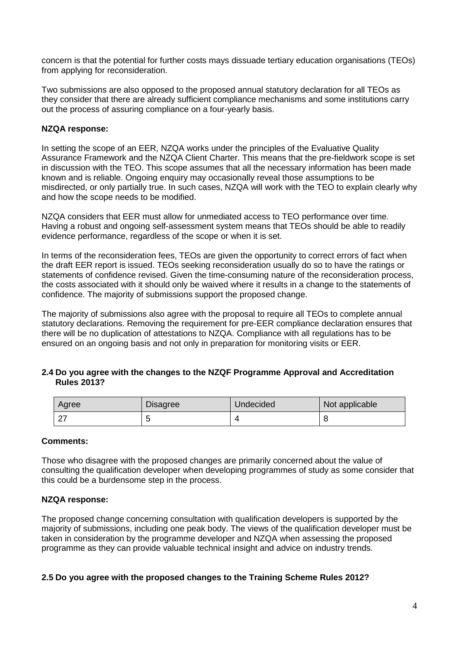concern is that the potential for further costs mays dissuade tertiary education organisations (TEOs) from applying for reconsideration.

Two submissions are also opposed to the proposed annual statutory declaration for all TEOs as they consider that there are already sufficient compliance mechanisms and some institutions carry out the process of assuring compliance on a four-yearly basis.

## **NZQA response:**

In setting the scope of an EER, NZQA works under the principles of the Evaluative Quality Assurance Framework and the NZQA Client Charter. This means that the pre-fieldwork scope is set in discussion with the TEO. This scope assumes that all the necessary information has been made known and is reliable. Ongoing enquiry may occasionally reveal those assumptions to be misdirected, or only partially true. In such cases, NZQA will work with the TEO to explain clearly why and how the scope needs to be modified.

NZQA considers that EER must allow for unmediated access to TEO performance over time. Having a robust and ongoing self-assessment system means that TEOs should be able to readily evidence performance, regardless of the scope or when it is set.

In terms of the reconsideration fees, TEOs are given the opportunity to correct errors of fact when the draft EER report is issued. TEOs seeking reconsideration usually do so to have the ratings or statements of confidence revised. Given the time-consuming nature of the reconsideration process, the costs associated with it should only be waived where it results in a change to the statements of confidence. The majority of submissions support the proposed change.

The majority of submissions also agree with the proposal to require all TEOs to complete annual statutory declarations. Removing the requirement for pre-EER compliance declaration ensures that there will be no duplication of attestations to NZQA. Compliance with all regulations has to be ensured on an ongoing basis and not only in preparation for monitoring visits or EER.

#### **2.4 Do you agree with the changes to the NZQF Programme Approval and Accreditation Rules 2013?**

| Agree | <b>Disagree</b> | Undecided | Not applicable |
|-------|-----------------|-----------|----------------|
|       |                 |           |                |

## **Comments:**

Those who disagree with the proposed changes are primarily concerned about the value of consulting the qualification developer when developing programmes of study as some consider that this could be a burdensome step in the process.

## **NZQA response:**

The proposed change concerning consultation with qualification developers is supported by the majority of submissions, including one peak body. The views of the qualification developer must be taken in consideration by the programme developer and NZQA when assessing the proposed programme as they can provide valuable technical insight and advice on industry trends.

## **2.5 Do you agree with the proposed changes to the Training Scheme Rules 2012?**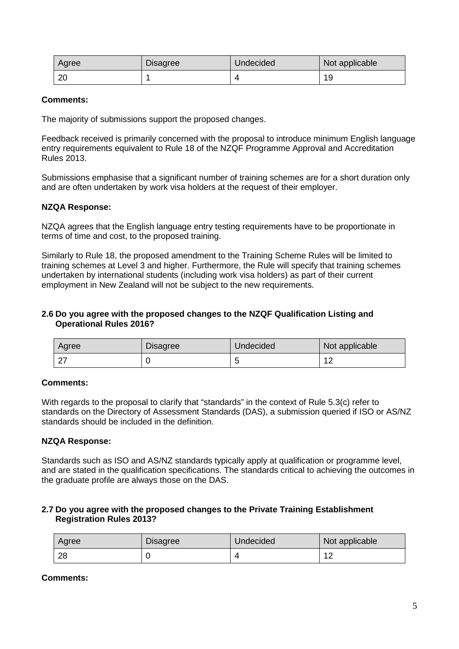| Agree | <b>Disagree</b> | Undecided | Not applicable |
|-------|-----------------|-----------|----------------|
| ∠∪    |                 |           | 19             |

## **Comments:**

The majority of submissions support the proposed changes.

Feedback received is primarily concerned with the proposal to introduce minimum English language entry requirements equivalent to Rule 18 of the NZQF Programme Approval and Accreditation Rules 2013.

Submissions emphasise that a significant number of training schemes are for a short duration only and are often undertaken by work visa holders at the request of their employer.

#### **NZQA Response:**

NZQA agrees that the English language entry testing requirements have to be proportionate in terms of time and cost, to the proposed training.

Similarly to Rule 18, the proposed amendment to the Training Scheme Rules will be limited to training schemes at Level 3 and higher. Furthermore, the Rule will specify that training schemes undertaken by international students (including work visa holders) as part of their current employment in New Zealand will not be subject to the new requirements.

### **2.6 Do you agree with the proposed changes to the NZQF Qualification Listing and Operational Rules 2016?**

| Agree | <b>Disagree</b> | Undecided | Not applicable |
|-------|-----------------|-----------|----------------|
| ົດ    |                 |           | $\sim$<br>' 4  |

#### **Comments:**

With regards to the proposal to clarify that "standards" in the context of Rule 5.3(c) refer to standards on the Directory of Assessment Standards (DAS), a submission queried if ISO or AS/NZ standards should be included in the definition.

## **NZQA Response:**

Standards such as ISO and AS/NZ standards typically apply at qualification or programme level, and are stated in the qualification specifications. The standards critical to achieving the outcomes in the graduate profile are always those on the DAS.

## **2.7 Do you agree with the proposed changes to the Private Training Establishment Registration Rules 2013?**

| Agree | <b>Disagree</b> | Undecided | Not applicable |
|-------|-----------------|-----------|----------------|
| 28    |                 |           | $\overline{ }$ |

**Comments:**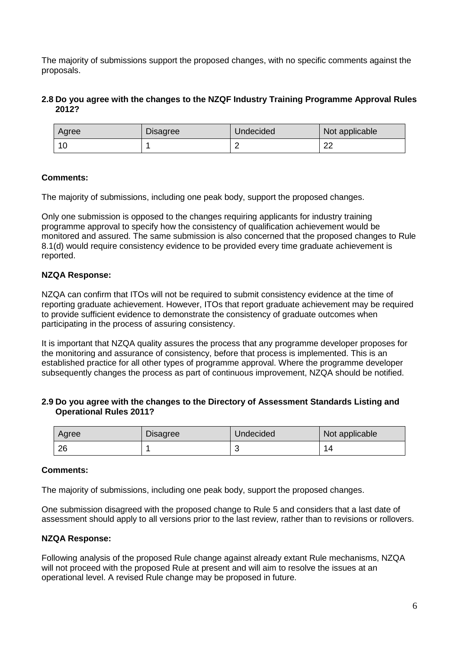The majority of submissions support the proposed changes, with no specific comments against the proposals.

# **2.8 Do you agree with the changes to the NZQF Industry Training Programme Approval Rules 2012?**

| Agree | <b>Disagree</b> | Undecided | Not applicable |
|-------|-----------------|-----------|----------------|
|       |                 |           | ົດຕ<br>∠∠      |

# **Comments:**

The majority of submissions, including one peak body, support the proposed changes.

Only one submission is opposed to the changes requiring applicants for industry training programme approval to specify how the consistency of qualification achievement would be monitored and assured. The same submission is also concerned that the proposed changes to Rule 8.1(d) would require consistency evidence to be provided every time graduate achievement is reported.

## **NZQA Response:**

NZQA can confirm that ITOs will not be required to submit consistency evidence at the time of reporting graduate achievement. However, ITOs that report graduate achievement may be required to provide sufficient evidence to demonstrate the consistency of graduate outcomes when participating in the process of assuring consistency.

It is important that NZQA quality assures the process that any programme developer proposes for the monitoring and assurance of consistency, before that process is implemented. This is an established practice for all other types of programme approval. Where the programme developer subsequently changes the process as part of continuous improvement, NZQA should be notified.

## **2.9 Do you agree with the changes to the Directory of Assessment Standards Listing and Operational Rules 2011?**

| Agree | <b>Disagree</b> | Undecided | Not applicable |
|-------|-----------------|-----------|----------------|
| 26    |                 |           |                |

## **Comments:**

The majority of submissions, including one peak body, support the proposed changes.

One submission disagreed with the proposed change to Rule 5 and considers that a last date of assessment should apply to all versions prior to the last review, rather than to revisions or rollovers.

## **NZQA Response:**

Following analysis of the proposed Rule change against already extant Rule mechanisms, NZQA will not proceed with the proposed Rule at present and will aim to resolve the issues at an operational level. A revised Rule change may be proposed in future.